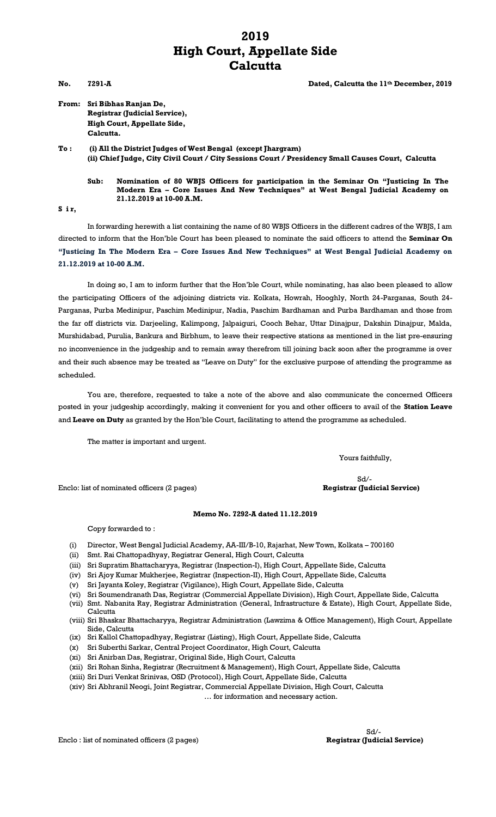## **2019 High Court, Appellate Side Calcutta**

**No. 7291-A Dated, Calcutta the 11th December, 2019**

**From: Sri Bibhas Ranjan De, Registrar (Judicial Service), High Court, Appellate Side, Calcutta.**

**To : (i) All the District Judges of West Bengal (except Jhargram) (ii) Chief Judge, City Civil Court / City Sessions Court / Presidency Small Causes Court, Calcutta**

**Sub: Nomination of 80 WBJS Officers for participation in the Seminar On "Justicing In The Modern Era – Core Issues And New Techniques" at West Bengal Judicial Academy on 21.12.2019 at 10-00 A.M.**

**S i r,**

In forwarding herewith a list containing the name of 80 WBJS Officers in the different cadres of the WBJS, I am directed to inform that the Hon'ble Court has been pleased to nominate the said officers to attend the **Seminar On "Justicing In The Modern Era – Core Issues And New Techniques" at West Bengal Judicial Academy on 21.12.2019 at 10-00 A.M.**

In doing so, I am to inform further that the Hon'ble Court, while nominating, has also been pleased to allow the participating Officers of the adjoining districts viz. Kolkata, Howrah, Hooghly, North 24-Parganas, South 24- Parganas, Purba Medinipur, Paschim Medinipur, Nadia, Paschim Bardhaman and Purba Bardhaman and those from the far off districts viz. Darjeeling, Kalimpong, Jalpaiguri, Cooch Behar, Uttar Dinajpur, Dakshin Dinajpur, Malda, Murshidabad, Purulia, Bankura and Birbhum, to leave their respective stations as mentioned in the list pre-ensuring no inconvenience in the judgeship and to remain away therefrom till joining back soon after the programme is over and their such absence may be treated as "Leave on Duty" for the exclusive purpose of attending the programme as scheduled.

You are, therefore, requested to take a note of the above and also communicate the concerned Officers posted in your judgeship accordingly, making it convenient for you and other officers to avail of the **Station Leave** and **Leave on Duty** as granted by the Hon'ble Court, facilitating to attend the programme as scheduled.

The matter is important and urgent.

Yours faithfully,

Sd/-

Enclo: list of nominated officers (2 pages) **Registrar (Judicial Service)**

## **Memo No. 7292-A dated 11.12.2019**

Copy forwarded to :

- (i) Director, West Bengal Judicial Academy, AA-III/B-10, Rajarhat, New Town, Kolkata 700160
- (ii) Smt. Rai Chattopadhyay, Registrar General, High Court, Calcutta
- (iii) Sri Supratim Bhattacharyya, Registrar (Inspection-I), High Court, Appellate Side, Calcutta
- (iv) Sri Ajoy Kumar Mukherjee, Registrar (Inspection-II), High Court, Appellate Side, Calcutta
- (v) Sri Jayanta Koley, Registrar (Vigilance), High Court, Appellate Side, Calcutta
- (vi) Sri Soumendranath Das, Registrar (Commercial Appellate Division), High Court, Appellate Side, Calcutta
- (vii) Smt. Nabanita Ray, Registrar Administration (General, Infrastructure & Estate), High Court, Appellate Side, Calcutta
- (viii) Sri Bhaskar Bhattacharyya, Registrar Administration (Lawzima & Office Management), High Court, Appellate Side, Calcutta
- (ix) Sri Kallol Chattopadhyay, Registrar (Listing), High Court, Appellate Side, Calcutta
- (x) Sri Suberthi Sarkar, Central Project Coordinator, High Court, Calcutta
- (xi) Sri Anirban Das, Registrar, Original Side, High Court, Calcutta
- (xii) Sri Rohan Sinha, Registrar (Recruitment & Management), High Court, Appellate Side, Calcutta
- (xiii) Sri Duri Venkat Srinivas, OSD (Protocol), High Court, Appellate Side, Calcutta
- (xiv) Sri Abhranil Neogi, Joint Registrar, Commercial Appellate Division, High Court, Calcutta

… for information and necessary action.

Enclo : list of nominated officers (2 pages)

Sd/-<br>Registrar (Judicial Service)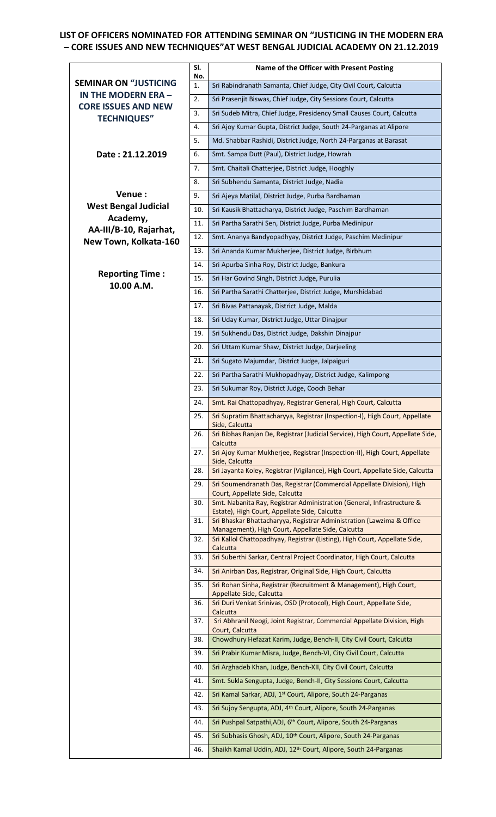## **LIST OF OFFICERS NOMINATED FOR ATTENDING SEMINAR ON "JUSTICING IN THE MODERN ERA – CORE ISSUES AND NEW TECHNIQUES"AT WEST BENGAL JUDICIAL ACADEMY ON 21.12.2019**

|                                                  | SI.<br>No. | Name of the Officer with Present Posting                                                                                   |
|--------------------------------------------------|------------|----------------------------------------------------------------------------------------------------------------------------|
| <b>SEMINAR ON "JUSTICING</b>                     | 1.         | Sri Rabindranath Samanta, Chief Judge, City Civil Court, Calcutta                                                          |
| IN THE MODERN ERA -                              | 2.         | Sri Prasenjit Biswas, Chief Judge, City Sessions Court, Calcutta                                                           |
| <b>CORE ISSUES AND NEW</b><br><b>TECHNIQUES"</b> | 3.         | Sri Sudeb Mitra, Chief Judge, Presidency Small Causes Court, Calcutta                                                      |
|                                                  | 4.         | Sri Ajoy Kumar Gupta, District Judge, South 24-Parganas at Alipore                                                         |
|                                                  | 5.         | Md. Shabbar Rashidi, District Judge, North 24-Parganas at Barasat                                                          |
| Date: 21.12.2019                                 | 6.         | Smt. Sampa Dutt (Paul), District Judge, Howrah                                                                             |
|                                                  | 7.         | Smt. Chaitali Chatterjee, District Judge, Hooghly                                                                          |
|                                                  | 8.         | Sri Subhendu Samanta, District Judge, Nadia                                                                                |
| Venue:                                           | 9.         | Sri Ajeya Matilal, District Judge, Purba Bardhaman                                                                         |
| <b>West Bengal Judicial</b>                      | 10.        | Sri Kausik Bhattacharya, District Judge, Paschim Bardhaman                                                                 |
| Academy,<br>AA-III/B-10, Rajarhat,               | 11.        | Sri Partha Sarathi Sen, District Judge, Purba Medinipur                                                                    |
| New Town, Kolkata-160                            | 12.        | Smt. Ananya Bandyopadhyay, District Judge, Paschim Medinipur                                                               |
|                                                  | 13.        | Sri Ananda Kumar Mukherjee, District Judge, Birbhum                                                                        |
|                                                  | 14.        | Sri Apurba Sinha Roy, District Judge, Bankura                                                                              |
| <b>Reporting Time:</b><br>10.00 A.M.             | 15.        | Sri Har Govind Singh, District Judge, Purulia                                                                              |
|                                                  | 16.        | Sri Partha Sarathi Chatterjee, District Judge, Murshidabad                                                                 |
|                                                  | 17.        | Sri Bivas Pattanayak, District Judge, Malda                                                                                |
|                                                  | 18.        | Sri Uday Kumar, District Judge, Uttar Dinajpur                                                                             |
|                                                  | 19.        | Sri Sukhendu Das, District Judge, Dakshin Dinajpur                                                                         |
|                                                  | 20.        | Sri Uttam Kumar Shaw, District Judge, Darjeeling                                                                           |
|                                                  | 21.        | Sri Sugato Majumdar, District Judge, Jalpaiguri                                                                            |
|                                                  | 22.        | Sri Partha Sarathi Mukhopadhyay, District Judge, Kalimpong                                                                 |
|                                                  | 23.        | Sri Sukumar Roy, District Judge, Cooch Behar                                                                               |
|                                                  | 24.        | Smt. Rai Chattopadhyay, Registrar General, High Court, Calcutta                                                            |
|                                                  | 25.        | Sri Supratim Bhattacharyya, Registrar (Inspection-I), High Court, Appellate<br>Side, Calcutta                              |
|                                                  | 26.        | Sri Bibhas Ranjan De, Registrar (Judicial Service), High Court, Appellate Side,<br>Calcutta                                |
|                                                  | 27.        | Sri Ajoy Kumar Mukherjee, Registrar (Inspection-II), High Court, Appellate<br>Side, Calcutta                               |
|                                                  | 28.        | Sri Jayanta Koley, Registrar (Vigilance), High Court, Appellate Side, Calcutta                                             |
|                                                  | 29.        | Sri Soumendranath Das, Registrar (Commercial Appellate Division), High<br>Court, Appellate Side, Calcutta                  |
|                                                  | 30.        | Smt. Nabanita Ray, Registrar Administration (General, Infrastructure &<br>Estate), High Court, Appellate Side, Calcutta    |
|                                                  | 31.        | Sri Bhaskar Bhattacharyya, Registrar Administration (Lawzima & Office<br>Management), High Court, Appellate Side, Calcutta |
|                                                  | 32.        | Sri Kallol Chattopadhyay, Registrar (Listing), High Court, Appellate Side,<br>Calcutta                                     |
|                                                  | 33.        | Sri Suberthi Sarkar, Central Project Coordinator, High Court, Calcutta                                                     |
|                                                  | 34.        | Sri Anirban Das, Registrar, Original Side, High Court, Calcutta                                                            |
|                                                  | 35.        | Sri Rohan Sinha, Registrar (Recruitment & Management), High Court,<br>Appellate Side, Calcutta                             |
|                                                  | 36.        | Sri Duri Venkat Srinivas, OSD (Protocol), High Court, Appellate Side,<br>Calcutta                                          |
|                                                  | 37.        | Sri Abhranil Neogi, Joint Registrar, Commercial Appellate Division, High<br>Court, Calcutta                                |
|                                                  | 38.        | Chowdhury Hefazat Karim, Judge, Bench-II, City Civil Court, Calcutta                                                       |
|                                                  | 39.        | Sri Prabir Kumar Misra, Judge, Bench-VI, City Civil Court, Calcutta                                                        |
|                                                  | 40.        | Sri Arghadeb Khan, Judge, Bench-XII, City Civil Court, Calcutta                                                            |
|                                                  | 41.        | Smt. Sukla Sengupta, Judge, Bench-II, City Sessions Court, Calcutta                                                        |
|                                                  | 42.        | Sri Kamal Sarkar, ADJ, 1 <sup>st</sup> Court, Alipore, South 24-Parganas                                                   |
|                                                  | 43.        | Sri Sujoy Sengupta, ADJ, 4 <sup>th</sup> Court, Alipore, South 24-Parganas                                                 |
|                                                  | 44.        | Sri Pushpal Satpathi, ADJ, 6th Court, Alipore, South 24-Parganas                                                           |
|                                                  | 45.        | Sri Subhasis Ghosh, ADJ, 10 <sup>th</sup> Court, Alipore, South 24-Parganas                                                |
|                                                  | 46.        | Shaikh Kamal Uddin, ADJ, 12 <sup>th</sup> Court, Alipore, South 24-Parganas                                                |